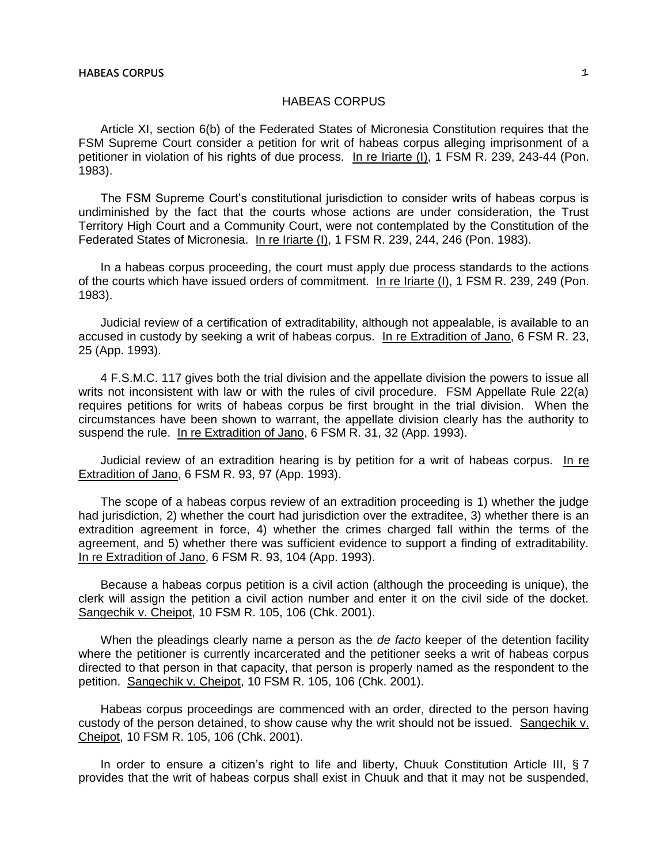## HABEAS CORPUS

Article XI, section 6(b) of the Federated States of Micronesia Constitution requires that the FSM Supreme Court consider a petition for writ of habeas corpus alleging imprisonment of a petitioner in violation of his rights of due process. In re Iriarte (I), 1 FSM R. 239, 243-44 (Pon. 1983).

The FSM Supreme Court's constitutional jurisdiction to consider writs of habeas corpus is undiminished by the fact that the courts whose actions are under consideration, the Trust Territory High Court and a Community Court, were not contemplated by the Constitution of the Federated States of Micronesia. In re Iriarte (I), 1 FSM R. 239, 244, 246 (Pon. 1983).

In a habeas corpus proceeding, the court must apply due process standards to the actions of the courts which have issued orders of commitment. In re Iriarte (I), 1 FSM R. 239, 249 (Pon. 1983).

Judicial review of a certification of extraditability, although not appealable, is available to an accused in custody by seeking a writ of habeas corpus. In re Extradition of Jano, 6 FSM R. 23, 25 (App. 1993).

4 F.S.M.C. 117 gives both the trial division and the appellate division the powers to issue all writs not inconsistent with law or with the rules of civil procedure. FSM Appellate Rule 22(a) requires petitions for writs of habeas corpus be first brought in the trial division. When the circumstances have been shown to warrant, the appellate division clearly has the authority to suspend the rule. In re Extradition of Jano, 6 FSM R. 31, 32 (App. 1993).

Judicial review of an extradition hearing is by petition for a writ of habeas corpus. In re Extradition of Jano, 6 FSM R. 93, 97 (App. 1993).

The scope of a habeas corpus review of an extradition proceeding is 1) whether the judge had jurisdiction, 2) whether the court had jurisdiction over the extraditee, 3) whether there is an extradition agreement in force, 4) whether the crimes charged fall within the terms of the agreement, and 5) whether there was sufficient evidence to support a finding of extraditability. In re Extradition of Jano, 6 FSM R. 93, 104 (App. 1993).

Because a habeas corpus petition is a civil action (although the proceeding is unique), the clerk will assign the petition a civil action number and enter it on the civil side of the docket. Sangechik v. Cheipot, 10 FSM R. 105, 106 (Chk. 2001).

When the pleadings clearly name a person as the *de facto* keeper of the detention facility where the petitioner is currently incarcerated and the petitioner seeks a writ of habeas corpus directed to that person in that capacity, that person is properly named as the respondent to the petition. Sangechik v. Cheipot, 10 FSM R. 105, 106 (Chk. 2001).

Habeas corpus proceedings are commenced with an order, directed to the person having custody of the person detained, to show cause why the writ should not be issued. Sangechik v. Cheipot, 10 FSM R. 105, 106 (Chk. 2001).

In order to ensure a citizen's right to life and liberty, Chuuk Constitution Article III, § 7 provides that the writ of habeas corpus shall exist in Chuuk and that it may not be suspended,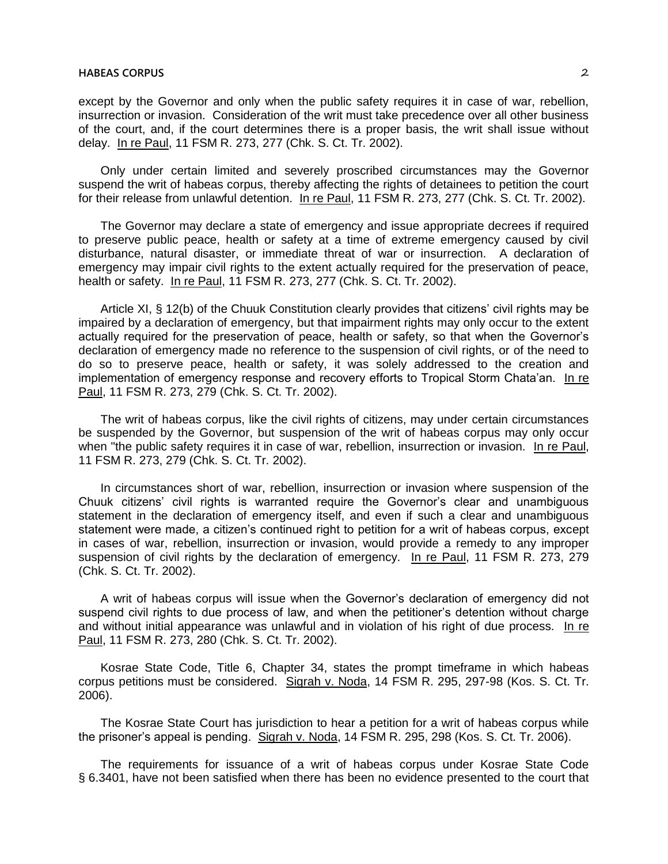## **HABEAS CORPUS** 2

except by the Governor and only when the public safety requires it in case of war, rebellion, insurrection or invasion. Consideration of the writ must take precedence over all other business of the court, and, if the court determines there is a proper basis, the writ shall issue without delay. In re Paul, 11 FSM R. 273, 277 (Chk. S. Ct. Tr. 2002).

Only under certain limited and severely proscribed circumstances may the Governor suspend the writ of habeas corpus, thereby affecting the rights of detainees to petition the court for their release from unlawful detention. In re Paul, 11 FSM R. 273, 277 (Chk. S. Ct. Tr. 2002).

The Governor may declare a state of emergency and issue appropriate decrees if required to preserve public peace, health or safety at a time of extreme emergency caused by civil disturbance, natural disaster, or immediate threat of war or insurrection. A declaration of emergency may impair civil rights to the extent actually required for the preservation of peace, health or safety. In re Paul, 11 FSM R. 273, 277 (Chk. S. Ct. Tr. 2002).

Article XI, § 12(b) of the Chuuk Constitution clearly provides that citizens' civil rights may be impaired by a declaration of emergency, but that impairment rights may only occur to the extent actually required for the preservation of peace, health or safety, so that when the Governor's declaration of emergency made no reference to the suspension of civil rights, or of the need to do so to preserve peace, health or safety, it was solely addressed to the creation and implementation of emergency response and recovery efforts to Tropical Storm Chata'an. In re Paul, 11 FSM R. 273, 279 (Chk. S. Ct. Tr. 2002).

The writ of habeas corpus, like the civil rights of citizens, may under certain circumstances be suspended by the Governor, but suspension of the writ of habeas corpus may only occur when "the public safety requires it in case of war, rebellion, insurrection or invasion. In re Paul, 11 FSM R. 273, 279 (Chk. S. Ct. Tr. 2002).

In circumstances short of war, rebellion, insurrection or invasion where suspension of the Chuuk citizens' civil rights is warranted require the Governor's clear and unambiguous statement in the declaration of emergency itself, and even if such a clear and unambiguous statement were made, a citizen's continued right to petition for a writ of habeas corpus, except in cases of war, rebellion, insurrection or invasion, would provide a remedy to any improper suspension of civil rights by the declaration of emergency. In re Paul, 11 FSM R. 273, 279 (Chk. S. Ct. Tr. 2002).

A writ of habeas corpus will issue when the Governor's declaration of emergency did not suspend civil rights to due process of law, and when the petitioner's detention without charge and without initial appearance was unlawful and in violation of his right of due process. In re Paul, 11 FSM R. 273, 280 (Chk. S. Ct. Tr. 2002).

Kosrae State Code, Title 6, Chapter 34, states the prompt timeframe in which habeas corpus petitions must be considered. Sigrah v. Noda, 14 FSM R. 295, 297-98 (Kos. S. Ct. Tr. 2006).

The Kosrae State Court has jurisdiction to hear a petition for a writ of habeas corpus while the prisoner's appeal is pending. Sigrah v. Noda, 14 FSM R. 295, 298 (Kos. S. Ct. Tr. 2006).

The requirements for issuance of a writ of habeas corpus under Kosrae State Code § 6.3401, have not been satisfied when there has been no evidence presented to the court that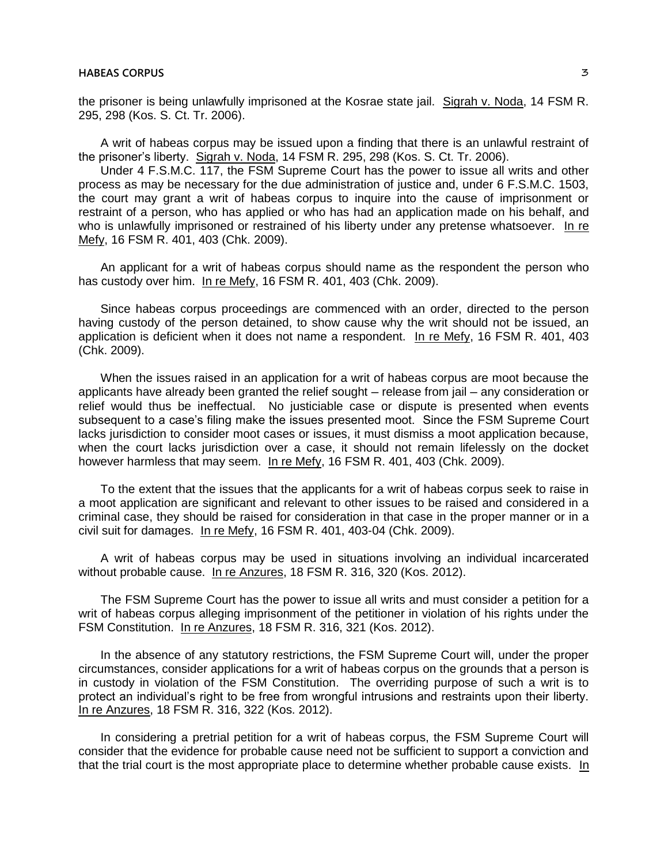the prisoner is being unlawfully imprisoned at the Kosrae state jail. Sigrah v. Noda, 14 FSM R. 295, 298 (Kos. S. Ct. Tr. 2006).

A writ of habeas corpus may be issued upon a finding that there is an unlawful restraint of the prisoner's liberty. Sigrah v. Noda, 14 FSM R. 295, 298 (Kos. S. Ct. Tr. 2006).

Under 4 F.S.M.C. 117, the FSM Supreme Court has the power to issue all writs and other process as may be necessary for the due administration of justice and, under 6 F.S.M.C. 1503, the court may grant a writ of habeas corpus to inquire into the cause of imprisonment or restraint of a person, who has applied or who has had an application made on his behalf, and who is unlawfully imprisoned or restrained of his liberty under any pretense whatsoever. In re Mefy, 16 FSM R. 401, 403 (Chk. 2009).

An applicant for a writ of habeas corpus should name as the respondent the person who has custody over him. In re Mefy, 16 FSM R. 401, 403 (Chk. 2009).

Since habeas corpus proceedings are commenced with an order, directed to the person having custody of the person detained, to show cause why the writ should not be issued, an application is deficient when it does not name a respondent. In re Mefy, 16 FSM R. 401, 403 (Chk. 2009).

When the issues raised in an application for a writ of habeas corpus are moot because the applicants have already been granted the relief sought – release from jail – any consideration or relief would thus be ineffectual. No justiciable case or dispute is presented when events subsequent to a case's filing make the issues presented moot. Since the FSM Supreme Court lacks jurisdiction to consider moot cases or issues, it must dismiss a moot application because, when the court lacks jurisdiction over a case, it should not remain lifelessly on the docket however harmless that may seem. In re Mefy, 16 FSM R. 401, 403 (Chk. 2009).

To the extent that the issues that the applicants for a writ of habeas corpus seek to raise in a moot application are significant and relevant to other issues to be raised and considered in a criminal case, they should be raised for consideration in that case in the proper manner or in a civil suit for damages. In re Mefy, 16 FSM R. 401, 403-04 (Chk. 2009).

A writ of habeas corpus may be used in situations involving an individual incarcerated without probable cause. In re Anzures, 18 FSM R. 316, 320 (Kos. 2012).

The FSM Supreme Court has the power to issue all writs and must consider a petition for a writ of habeas corpus alleging imprisonment of the petitioner in violation of his rights under the FSM Constitution. In re Anzures, 18 FSM R. 316, 321 (Kos. 2012).

In the absence of any statutory restrictions, the FSM Supreme Court will, under the proper circumstances, consider applications for a writ of habeas corpus on the grounds that a person is in custody in violation of the FSM Constitution. The overriding purpose of such a writ is to protect an individual's right to be free from wrongful intrusions and restraints upon their liberty. In re Anzures, 18 FSM R. 316, 322 (Kos. 2012).

In considering a pretrial petition for a writ of habeas corpus, the FSM Supreme Court will consider that the evidence for probable cause need not be sufficient to support a conviction and that the trial court is the most appropriate place to determine whether probable cause exists. In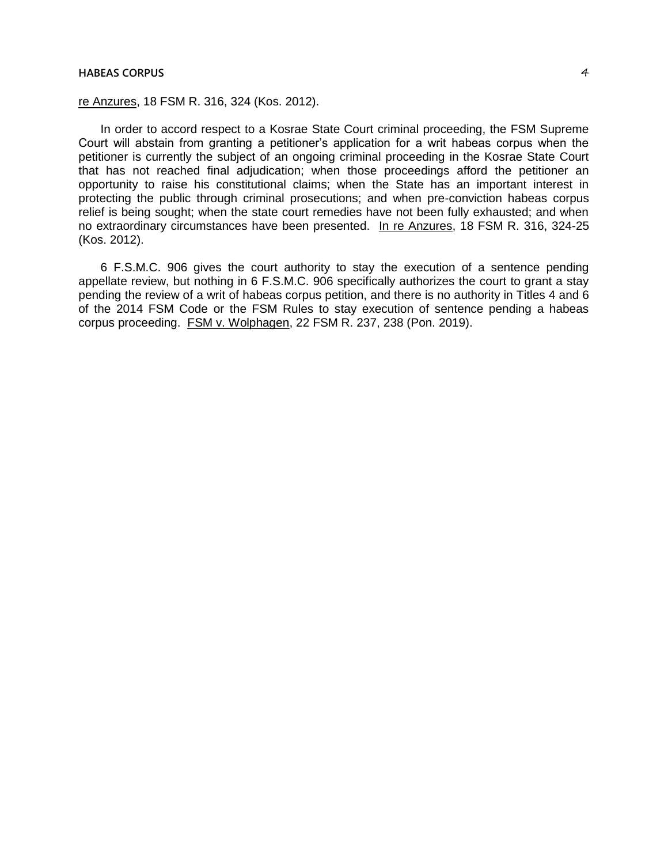## **HABEAS CORPUS** 4

## re Anzures, 18 FSM R. 316, 324 (Kos. 2012).

In order to accord respect to a Kosrae State Court criminal proceeding, the FSM Supreme Court will abstain from granting a petitioner's application for a writ habeas corpus when the petitioner is currently the subject of an ongoing criminal proceeding in the Kosrae State Court that has not reached final adjudication; when those proceedings afford the petitioner an opportunity to raise his constitutional claims; when the State has an important interest in protecting the public through criminal prosecutions; and when pre-conviction habeas corpus relief is being sought; when the state court remedies have not been fully exhausted; and when no extraordinary circumstances have been presented. In re Anzures, 18 FSM R. 316, 324-25 (Kos. 2012).

6 F.S.M.C. 906 gives the court authority to stay the execution of a sentence pending appellate review, but nothing in 6 F.S.M.C. 906 specifically authorizes the court to grant a stay pending the review of a writ of habeas corpus petition, and there is no authority in Titles 4 and 6 of the 2014 FSM Code or the FSM Rules to stay execution of sentence pending a habeas corpus proceeding. FSM v. Wolphagen, 22 FSM R. 237, 238 (Pon. 2019).